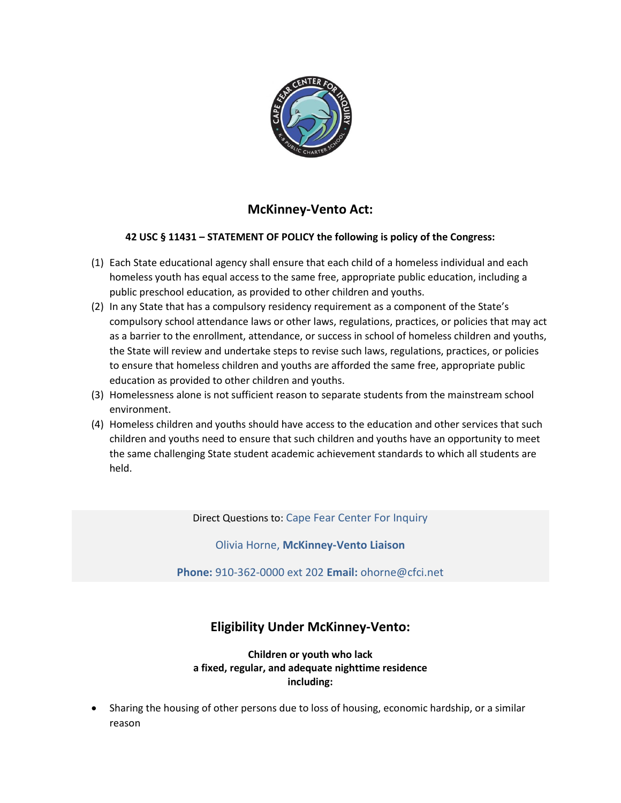

# **McKinney-Vento Act:**

#### **42 USC § 11431 – STATEMENT OF POLICY the following is policy of the Congress:**

- (1) Each State educational agency shall ensure that each child of a homeless individual and each homeless youth has equal access to the same free, appropriate public education, including a public preschool education, as provided to other children and youths.
- (2) In any State that has a compulsory residency requirement as a component of the State's compulsory school attendance laws or other laws, regulations, practices, or policies that may act as a barrier to the enrollment, attendance, or success in school of homeless children and youths, the State will review and undertake steps to revise such laws, regulations, practices, or policies to ensure that homeless children and youths are afforded the same free, appropriate public education as provided to other children and youths.
- (3) Homelessness alone is not sufficient reason to separate students from the mainstream school environment.
- (4) Homeless children and youths should have access to the education and other services that such children and youths need to ensure that such children and youths have an opportunity to meet the same challenging State student academic achievement standards to which all students are held.

Direct Questions to: Cape Fear Center For Inquiry

Olivia Horne, **McKinney-Vento Liaison**

**Phone:** 910-362-0000 ext 202 **Email:** ohorne@cfci.net

# **Eligibility Under McKinney-Vento:**

**Children or youth who lack a fixed, regular, and adequate nighttime residence including:**

 Sharing the housing of other persons due to loss of housing, economic hardship, or a similar reason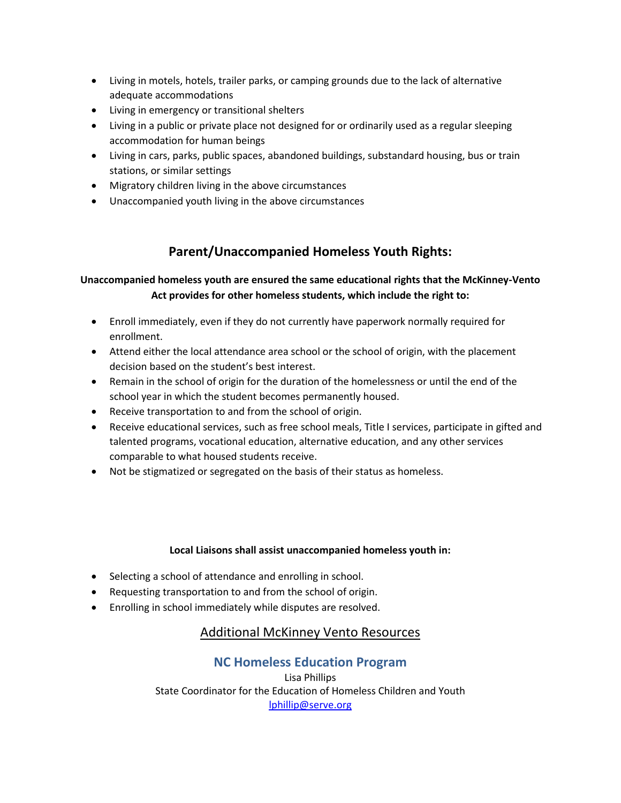- Living in motels, hotels, trailer parks, or camping grounds due to the lack of alternative adequate accommodations
- Living in emergency or transitional shelters
- Living in a public or private place not designed for or ordinarily used as a regular sleeping accommodation for human beings
- Living in cars, parks, public spaces, abandoned buildings, substandard housing, bus or train stations, or similar settings
- Migratory children living in the above circumstances
- Unaccompanied youth living in the above circumstances

# **Parent/Unaccompanied Homeless Youth Rights:**

### **Unaccompanied homeless youth are ensured the same educational rights that the McKinney-Vento Act provides for other homeless students, which include the right to:**

- Enroll immediately, even if they do not currently have paperwork normally required for enrollment.
- Attend either the local attendance area school or the school of origin, with the placement decision based on the student's best interest.
- Remain in the school of origin for the duration of the homelessness or until the end of the school year in which the student becomes permanently housed.
- Receive transportation to and from the school of origin.
- Receive educational services, such as free school meals, Title I services, participate in gifted and talented programs, vocational education, alternative education, and any other services comparable to what housed students receive.
- Not be stigmatized or segregated on the basis of their status as homeless.

#### **Local Liaisons shall assist unaccompanied homeless youth in:**

- Selecting a school of attendance and enrolling in school.
- Requesting transportation to and from the school of origin.
- Enrolling in school immediately while disputes are resolved.

### Additional McKinney Vento Resources

### **NC Homeless Education Program**

Lisa Phillips State Coordinator for the Education of Homeless Children and Youth [lphillip@serve.org](mailto:lphillip@serve.org)